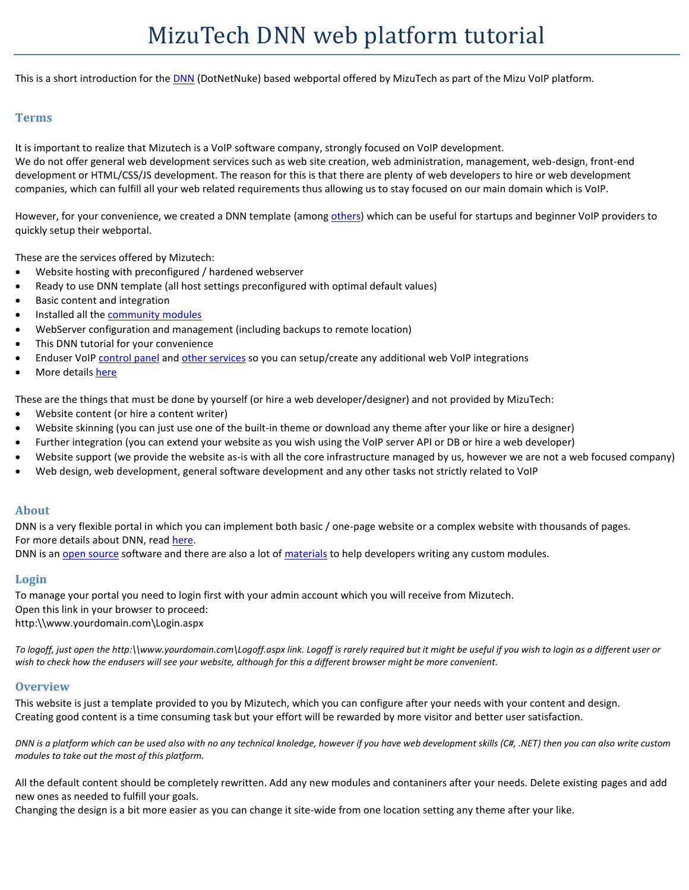This is a short introduction for the **DNN** (DotNetNuke) based webportal offered by MizuTech as part of the Mizu VoIP platform.

# **Terms**

It is important to realize that Mizutech is a VoIP software company, strongly focused on VoIP development. We do not offer general web development services such as web site creation, web administration, management, web-design, front-end development or HTML/CSS/JS development. The reason for this is that there are plenty of web developers to hire or web development companies, which can fulfill all your web related requirements thus allowing us to stay focused on our main domain which is VoIP.

However, for your convenience, we created a DNN template (amon[g others\)](https://www.mizu-voip.com/Portals/0/Files/VoIP_WebSite.pdf) which can be useful for startups and beginner VoIP providers to quickly setup their webportal.

These are the services offered by Mizutech:

- Website hosting with preconfigured / hardened webserver
- Ready to use DNN template (all host settings preconfigured with optimal default values)
- Basic content and integration
- Installed all the [community modules](https://github.com/DNNCommunity)
- WebServer configuration and management (including backups to remote location)
- This DNN tutorial for your convenience
- Enduser VoI[P control panel](https://www.mizu-voip.com/Portals/0/Files/WebPortal.pdf) an[d other services](https://www.mizu-voip.com/Portals/0/Files/VoIP_Integration.pdf) so you can setup/create any additional web VoIP integrations
- More details [here](https://www.mizu-voip.com/Portals/0/Files/VoIP_WebSite.pdf)

These are the things that must be done by yourself (or hire a web developer/designer) and not provided by MizuTech:

- Website content (or hire a content writer)
- Website skinning (you can just use one of the built-in theme or download any theme after your like or hire a designer)
- Further integration (you can extend your website as you wish using the VoIP server API or DB or hire a web developer)
- Website support (we provide the website as-is with all the core infrastructure managed by us, however we are not a web focused company)
- Web design, web development, general software development and any other tasks not strictly related to VoIP

## **About**

DNN is a very flexible portal in which you can implement both basic / one-page website or a complex website with thousands of pages. For more details about DNN, read [here.](https://en.wikipedia.org/wiki/DNN_(software))

DNN is a[n open source](https://github.com/dnnsoftware/Dnn.Platform) software and there are also a lot of [materials](https://www.dnnsoftware.com/wiki/module-development) to help developers writing any custom modules.

## **Login**

To manage your portal you need to login first with your admin account which you will receive from Mizutech. Open this link in your browser to proceed: http:\\www.yourdomain.com\Login.aspx

*To logoff, just open the http:\\www.yourdomain.com\Logoff.aspx link. Logoff is rarely required but it might be useful if you wish to login as a different user or wish to check how the endusers will see your website, although for this a different browser might be more convenient.*

#### **Overview**

This website is just a template provided to you by Mizutech, which you can configure after your needs with your content and design. Creating good content is a time consuming task but your effort will be rewarded by more visitor and better user satisfaction.

*DNN is a platform which can be used also with no any technical knoledge, however if you have web development skills (C#, .NET) then you can also write custom modules to take out the most of this platform.*

All the default content should be completely rewritten. Add any new modules and contaniners after your needs. Delete existing pages and add new ones as needed to fulfill your goals.

Changing the design is a bit more easier as you can change it site-wide from one location setting any theme after your like.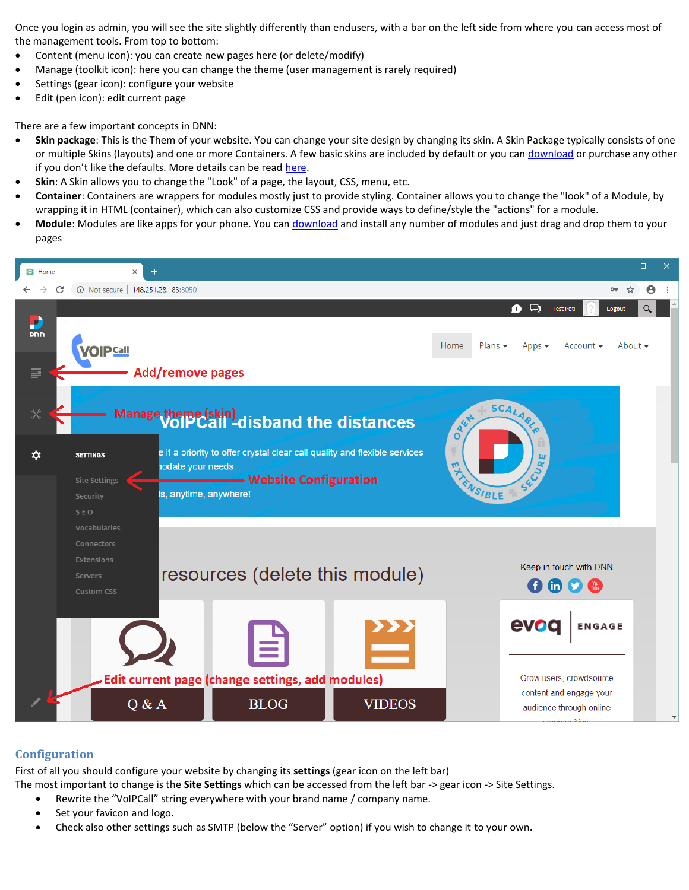Once you login as admin, you will see the site slightly differently than endusers, with a bar on the left side from where you can access most of the management tools. From top to bottom:

- Content (menu icon): you can create new pages here (or delete/modify)
- Manage (toolkit icon): here you can change the theme (user management is rarely required)
- Settings (gear icon): configure your website
- Edit (pen icon): edit current page

There are a few important concepts in DNN:

- **Skin package**: This is the Them of your website. You can change your site design by changing its skin. A Skin Package typically consists of one or multiple Skins (layouts) and one or more Containers. A few basic skins are included by default or you can [download](https://store.dnnsoftware.com/featured/top-themes) or purchase any other if you don't like the defaults. More details can be read [here.](https://www.dnnsoftware.com/docs/designers/about-themes.html)
- **Skin**: A Skin allows you to change the "Look" of a page, the layout, CSS, menu, etc.
- **Container**: Containers are wrappers for modules mostly just to provide styling. Container allows you to change the "look" of a Module, by wrapping it in HTML (container), which can also customize CSS and provide ways to define/style the "actions" for a module.
- **Module**: Modules are like apps for your phone. You can [download](https://store.dnnsoftware.com/) and install any number of modules and just drag and drop them to your pages



# **Configuration**

First of all you should configure your website by changing its **settings** (gear icon on the left bar)

The most important to change is the **Site Settings** which can be accessed from the left bar -> gear icon -> Site Settings.

- Rewrite the "VoIPCall" string everywhere with your brand name / company name.
- Set your favicon and logo.
- Check also other settings such as SMTP (below the "Server" option) if you wish to change it to your own.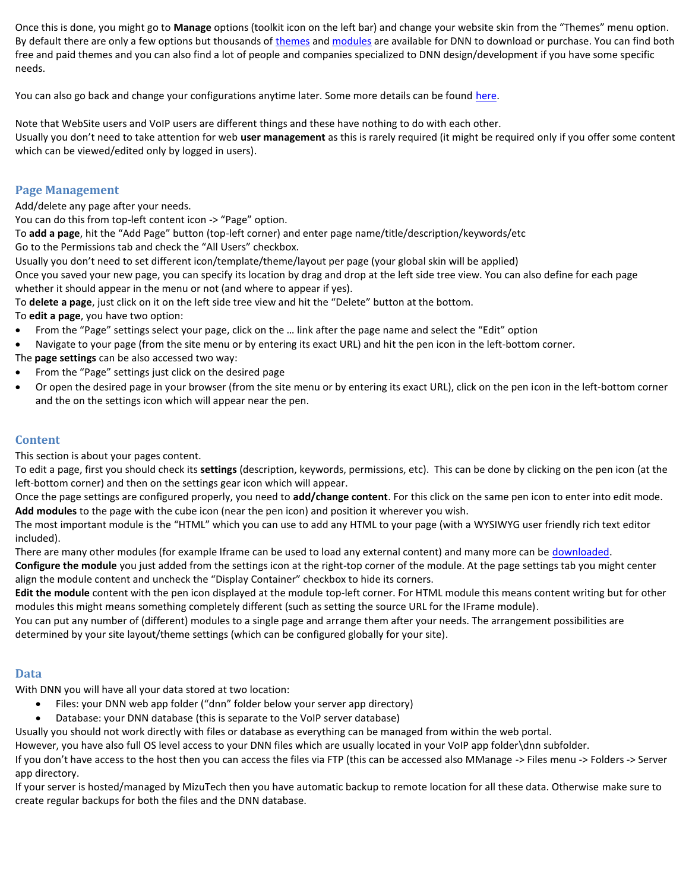Once this is done, you might go to **Manage** options (toolkit icon on the left bar) and change your website skin from the "Themes" menu option. By default there are only a few options but thousands of [themes](https://store.dnnsoftware.com/featured/top-themes) an[d modules](https://store.dnnsoftware.com/) are available for DNN to download or purchase. You can find both free and paid themes and you can also find a lot of people and companies specialized to DNN design/development if you have some specific needs.

You can also go back and change your configurations anytime later. Some more details can be found [here.](https://www.dnnsoftware.com/docs/content-managers/configuring-your-site/index.html)

Note that WebSite users and VoIP users are different things and these have nothing to do with each other. Usually you don't need to take attention for web **user management** as this is rarely required (it might be required only if you offer some content which can be viewed/edited only by logged in users).

## **Page Management**

Add/delete any page after your needs.

You can do this from top-left content icon -> "Page" option.

To **add a page**, hit the "Add Page" button (top-left corner) and enter page name/title/description/keywords/etc

Go to the Permissions tab and check the "All Users" checkbox.

Usually you don't need to set different icon/template/theme/layout per page (your global skin will be applied)

Once you saved your new page, you can specify its location by drag and drop at the left side tree view. You can also define for each page whether it should appear in the menu or not (and where to appear if yes).

To **delete a page**, just click on it on the left side tree view and hit the "Delete" button at the bottom.

To **edit a page**, you have two option:

- From the "Page" settings select your page, click on the … link after the page name and select the "Edit" option
- Navigate to your page (from the site menu or by entering its exact URL) and hit the pen icon in the left-bottom corner.

The **page settings** can be also accessed two way:

- From the "Page" settings just click on the desired page
- Or open the desired page in your browser (from the site menu or by entering its exact URL), click on the pen icon in the left-bottom corner and the on the settings icon which will appear near the pen.

# **Content**

This section is about your pages content.

To edit a page, first you should check its **settings** (description, keywords, permissions, etc). This can be done by clicking on the pen icon (at the left-bottom corner) and then on the settings gear icon which will appear.

Once the page settings are configured properly, you need to **add/change content**. For this click on the same pen icon to enter into edit mode. **Add modules** to the page with the cube icon (near the pen icon) and position it wherever you wish.

The most important module is the "HTML" which you can use to add any HTML to your page (with a WYSIWYG user friendly rich text editor included).

There are many other modules (for example Iframe can be used to load any external content) and many more can be [downloaded.](https://store.dnnsoftware.com/)

**Configure the module** you just added from the settings icon at the right-top corner of the module. At the page settings tab you might center align the module content and uncheck the "Display Container" checkbox to hide its corners.

**Edit the module** content with the pen icon displayed at the module top-left corner. For HTML module this means content writing but for other modules this might means something completely different (such as setting the source URL for the IFrame module).

You can put any number of (different) modules to a single page and arrange them after your needs. The arrangement possibilities are determined by your site layout/theme settings (which can be configured globally for your site).

# **Data**

With DNN you will have all your data stored at two location:

- Files: your DNN web app folder ("dnn" folder below your server app directory)
- Database: your DNN database (this is separate to the VoIP server database)

Usually you should not work directly with files or database as everything can be managed from within the web portal.

However, you have also full OS level access to your DNN files which are usually located in your VoIP app folder\dnn subfolder.

If you don't have access to the host then you can access the files via FTP (this can be accessed also MManage -> Files menu -> Folders -> Server app directory.

If your server is hosted/managed by MizuTech then you have automatic backup to remote location for all these data. Otherwise make sure to create regular backups for both the files and the DNN database.